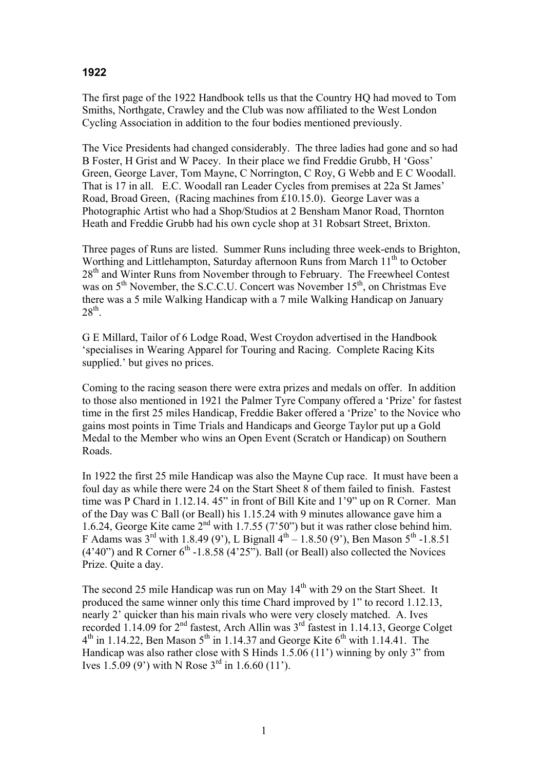## **1922**

The first page of the 1922 Handbook tells us that the Country HQ had moved to Tom Smiths, Northgate, Crawley and the Club was now affiliated to the West London Cycling Association in addition to the four bodies mentioned previously.

The Vice Presidents had changed considerably. The three ladies had gone and so had B Foster, H Grist and W Pacey. In their place we find Freddie Grubb, H 'Goss' Green, George Laver, Tom Mayne, C Norrington, C Roy, G Webb and E C Woodall. That is 17 in all. E.C. Woodall ran Leader Cycles from premises at 22a St James' Road, Broad Green, (Racing machines from £10.15.0). George Laver was a Photographic Artist who had a Shop/Studios at 2 Bensham Manor Road, Thornton Heath and Freddie Grubb had his own cycle shop at 31 Robsart Street, Brixton.

Three pages of Runs are listed. Summer Runs including three week-ends to Brighton, Worthing and Littlehampton, Saturday afternoon Runs from March 11<sup>th</sup> to October 28<sup>th</sup> and Winter Runs from November through to February. The Freewheel Contest was on 5<sup>th</sup> November, the S.C.C.U. Concert was November 15<sup>th</sup>, on Christmas Eve there was a 5 mile Walking Handicap with a 7 mile Walking Handicap on January  $28<sup>th</sup>$ .

G E Millard, Tailor of 6 Lodge Road, West Croydon advertised in the Handbook 'specialises in Wearing Apparel for Touring and Racing. Complete Racing Kits supplied.' but gives no prices.

Coming to the racing season there were extra prizes and medals on offer. In addition to those also mentioned in 1921 the Palmer Tyre Company offered a 'Prize' for fastest time in the first 25 miles Handicap, Freddie Baker offered a 'Prize' to the Novice who gains most points in Time Trials and Handicaps and George Taylor put up a Gold Medal to the Member who wins an Open Event (Scratch or Handicap) on Southern Roads.

In 1922 the first 25 mile Handicap was also the Mayne Cup race. It must have been a foul day as while there were 24 on the Start Sheet 8 of them failed to finish. Fastest time was P Chard in 1.12.14. 45" in front of Bill Kite and 1'9" up on R Corner. Man of the Day was C Ball (or Beall) his 1.15.24 with 9 minutes allowance gave him a 1.6.24, George Kite came 2nd with 1.7.55 (7'50") but it was rather close behind him. F Adams was  $3^{rd}$  with 1.8.49 (9'), L Bignall  $4^{th} - 1.8.50$  (9'), Ben Mason  $5^{th}$  -1.8.51  $(4'40'')$  and R Corner  $6<sup>th</sup>$  -1.8.58  $(4'25'')$ . Ball (or Beall) also collected the Novices Prize. Quite a day.

The second 25 mile Handicap was run on May  $14<sup>th</sup>$  with 29 on the Start Sheet. It produced the same winner only this time Chard improved by 1" to record 1.12.13, nearly 2' quicker than his main rivals who were very closely matched. A. Ives recorded  $1.14.09$  for  $2<sup>nd</sup>$  fastest, Arch Allin was  $3<sup>rd</sup>$  fastest in 1.14.13, George Colget  $4<sup>th</sup>$  in 1.14.22, Ben Mason  $5<sup>th</sup>$  in 1.14.37 and George Kite  $6<sup>th</sup>$  with 1.14.41. The Handicap was also rather close with S Hinds 1.5.06 (11') winning by only 3" from Ives 1.5.09 (9') with N Rose  $3^{rd}$  in 1.6.60 (11').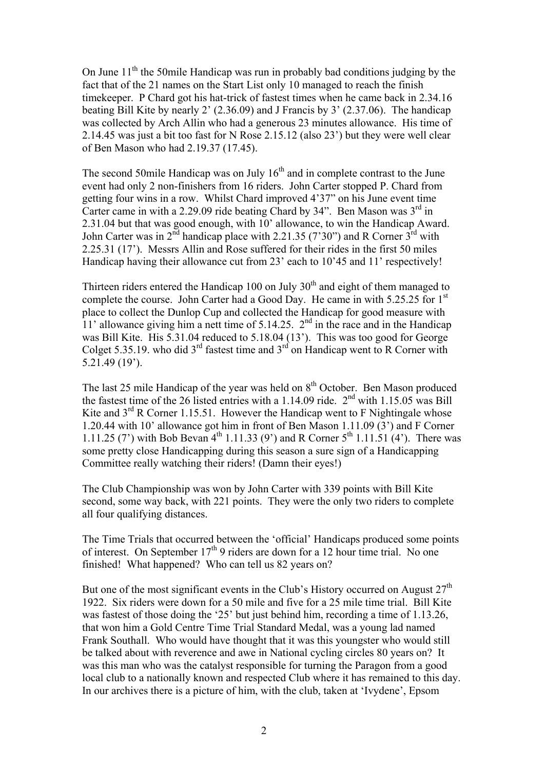On June  $11<sup>th</sup>$  the 50mile Handicap was run in probably bad conditions judging by the fact that of the 21 names on the Start List only 10 managed to reach the finish timekeeper. P Chard got his hat-trick of fastest times when he came back in 2.34.16 beating Bill Kite by nearly 2' (2.36.09) and J Francis by 3' (2.37.06). The handicap was collected by Arch Allin who had a generous 23 minutes allowance. His time of 2.14.45 was just a bit too fast for N Rose 2.15.12 (also 23') but they were well clear of Ben Mason who had 2.19.37 (17.45).

The second 50mile Handicap was on July  $16<sup>th</sup>$  and in complete contrast to the June event had only 2 non-finishers from 16 riders. John Carter stopped P. Chard from getting four wins in a row. Whilst Chard improved 4'37" on his June event time Carter came in with a 2.29.09 ride beating Chard by  $34$ ". Ben Mason was  $3<sup>rd</sup>$  in 2.31.04 but that was good enough, with 10' allowance, to win the Handicap Award. John Carter was in  $2^{\overline{nd}}$  handicap place with 2.21.35 (7'30") and R Corner  $3^{\overline{rd}}$  with 2.25.31 (17'). Messrs Allin and Rose suffered for their rides in the first 50 miles Handicap having their allowance cut from 23' each to 10'45 and 11' respectively!

Thirteen riders entered the Handicap 100 on July  $30<sup>th</sup>$  and eight of them managed to complete the course. John Carter had a Good Day. He came in with 5.25.25 for 1<sup>st</sup> place to collect the Dunlop Cup and collected the Handicap for good measure with 11' allowance giving him a nett time of 5.14.25.  $2<sup>nd</sup>$  in the race and in the Handicap was Bill Kite. His 5.31.04 reduced to 5.18.04 (13'). This was too good for George Colget 5.35.19. who did  $3<sup>rd</sup>$  fastest time and  $3<sup>rd</sup>$  on Handicap went to R Corner with 5.21.49 (19').

The last 25 mile Handicap of the year was held on 8<sup>th</sup> October. Ben Mason produced the fastest time of the 26 listed entries with a 1.14.09 ride.  $2<sup>nd</sup>$  with 1.15.05 was Bill Kite and  $3<sup>rd</sup>$  R Corner 1.15.51. However the Handicap went to F Nightingale whose 1.20.44 with 10' allowance got him in front of Ben Mason 1.11.09 (3') and F Corner 1.11.25 (7) with Bob Bevan  $4^{th}$  1.11.33 (9) and R Corner  $5^{th}$  1.11.51 (4). There was some pretty close Handicapping during this season a sure sign of a Handicapping Committee really watching their riders! (Damn their eyes!)

The Club Championship was won by John Carter with 339 points with Bill Kite second, some way back, with 221 points. They were the only two riders to complete all four qualifying distances.

The Time Trials that occurred between the 'official' Handicaps produced some points of interest. On September  $17<sup>th</sup>$  9 riders are down for a 12 hour time trial. No one finished! What happened? Who can tell us 82 years on?

But one of the most significant events in the Club's History occurred on August  $27<sup>th</sup>$ 1922. Six riders were down for a 50 mile and five for a 25 mile time trial. Bill Kite was fastest of those doing the '25' but just behind him, recording a time of 1.13.26, that won him a Gold Centre Time Trial Standard Medal, was a young lad named Frank Southall. Who would have thought that it was this youngster who would still be talked about with reverence and awe in National cycling circles 80 years on? It was this man who was the catalyst responsible for turning the Paragon from a good local club to a nationally known and respected Club where it has remained to this day. In our archives there is a picture of him, with the club, taken at 'Ivydene', Epsom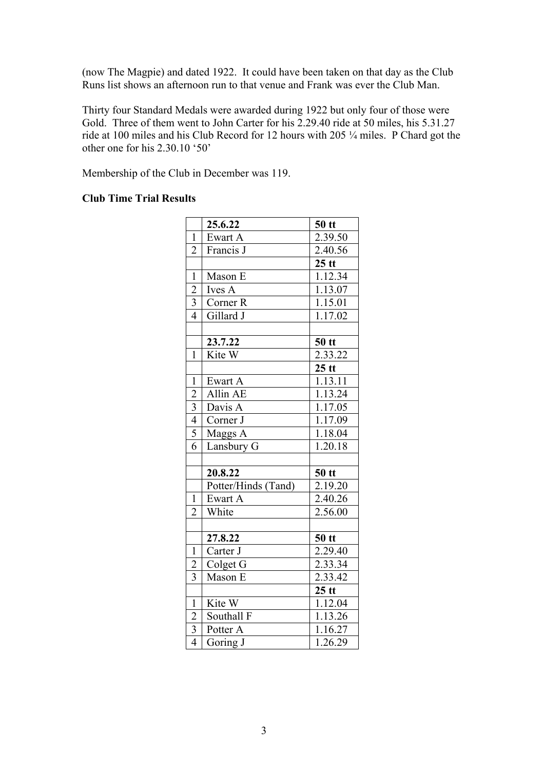(now The Magpie) and dated 1922. It could have been taken on that day as the Club Runs list shows an afternoon run to that venue and Frank was ever the Club Man.

Thirty four Standard Medals were awarded during 1922 but only four of those were Gold. Three of them went to John Carter for his 2.29.40 ride at 50 miles, his 5.31.27 ride at 100 miles and his Club Record for 12 hours with 205 ¼ miles. P Chard got the other one for his 2.30.10 '50'

Membership of the Club in December was 119.

## **Club Time Trial Results**

|                         | 25.6.22             | $50$ tt |
|-------------------------|---------------------|---------|
| $\mathbf{1}$            | Ewart A             | 2.39.50 |
| $\overline{2}$          | Francis J           | 2.40.56 |
|                         |                     | $25$ tt |
| $\mathbf{1}$            | Mason E             | 1.12.34 |
| $\overline{2}$          | Ives A              | 1.13.07 |
| $\overline{3}$          | Corner <sub>R</sub> | 1.15.01 |
| $\overline{4}$          | Gillard J           | 1.17.02 |
|                         |                     |         |
|                         | 23.7.22             | $50$ tt |
| $\mathbf{1}$            | Kite W              | 2.33.22 |
|                         |                     | $25$ tt |
| $\mathbf{1}$            | Ewart A             | 1.13.11 |
| $\overline{c}$          | Allin AE            | 1.13.24 |
| $\frac{3}{4}$           | Davis A             | 1.17.05 |
|                         | Corner J            | 1.17.09 |
| $\overline{5}$          | Maggs A             | 1.18.04 |
| 6                       | Lansbury G          | 1.20.18 |
|                         |                     |         |
|                         | 20.8.22             | $50$ tt |
|                         | Potter/Hinds (Tand) | 2.19.20 |
| $\mathbf{1}$            | Ewart A             | 2.40.26 |
| $\overline{2}$          | White               | 2.56.00 |
|                         |                     |         |
|                         | 27.8.22             | $50$ tt |
| $\mathbf{1}$            | Carter J            | 2.29.40 |
| $\overline{c}$          | Colget G            | 2.33.34 |
| $\overline{3}$          | Mason E             | 2.33.42 |
|                         |                     | $25$ tt |
| $\mathbf{1}$            | Kite W              | 1.12.04 |
| $\overline{c}$          | Southall F          | 1.13.26 |
| $\overline{\mathbf{3}}$ | Potter A            | 1.16.27 |
| $\overline{4}$          | Goring J            | 1.26.29 |